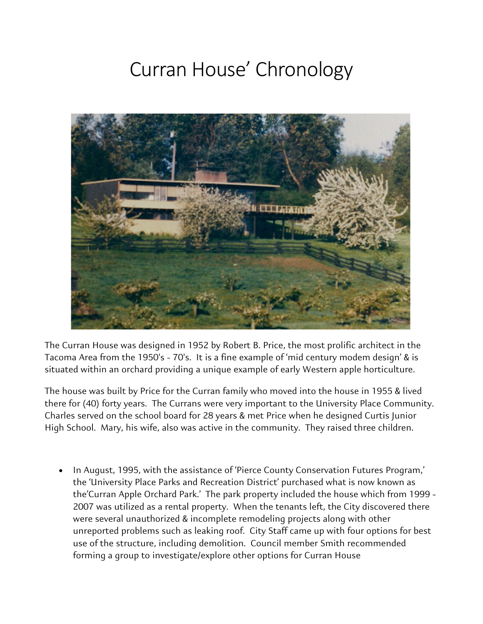## Curran House' Chronology



The Curran House was designed in 1952 by Robert B. Price, the most prolific architect in the Tacoma Area from the 1950's - 70's. It is a fine example of 'mid century modem design' & is situated within an orchard providing a unique example of early Western apple horticulture.

The house was built by Price for the Curran family who moved into the house in 1955 & lived there for (40) forty years. The Currans were very important to the University Place Community. Charles served on the school board for 28 years & met Price when he designed Curtis Junior High School. Mary, his wife, also was active in the community. They raised three children.

• In August, 1995, with the assistance of 'Pierce County Conservation Futures Program,' the 'University Place Parks and Recreation District' purchased what is now known as the'Curran Apple Orchard Park.' The park property included the house which from 1999 - 2007 was utilized as a rental property. When the tenants left, the City discovered there were several unauthorized & incomplete remodeling projects along with other unreported problems such as leaking roof. City Staff came up with four options for best use of the structure, including demolition. Council member Smith recommended forming a group to investigate/explore other options for Curran House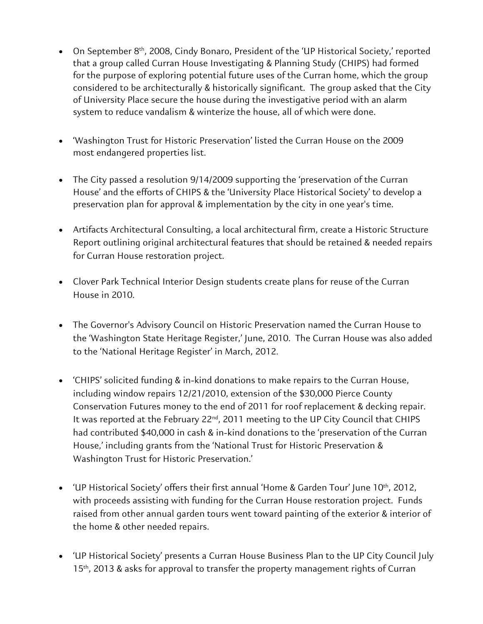- On September 8<sup>th</sup>, 2008, Cindy Bonaro, President of the 'UP Historical Society,' reported that a group called Curran House Investigating & Planning Study (CHIPS) had formed for the purpose of exploring potential future uses of the Curran home, which the group considered to be architecturally & historically significant. The group asked that the City of University Place secure the house during the investigative period with an alarm system to reduce vandalism & winterize the house, all of which were done.
- 'Washington Trust for Historic Preservation' listed the Curran House on the 2009 most endangered properties list.
- The City passed a resolution 9/14/2009 supporting the 'preservation of the Curran House' and the efforts of CHIPS & the 'University Place Historical Society' to develop a preservation plan for approval & implementation by the city in one year's time.
- Artifacts Architectural Consulting, a local architectural firm, create a Historic Structure Report outlining original architectural features that should be retained & needed repairs for Curran House restoration project.
- Clover Park Technical Interior Design students create plans for reuse of the Curran House in 2010.
- The Governor's Advisory Council on Historic Preservation named the Curran House to the 'Washington State Heritage Register,' June, 2010. The Curran House was also added to the 'National Heritage Register' in March, 2012.
- 'CHIPS' solicited funding & in-kind donations to make repairs to the Curran House, including window repairs 12/21/2010, extension of the \$30,000 Pierce County Conservation Futures money to the end of 2011 for roof replacement & decking repair. It was reported at the February 22<sup>nd</sup>, 2011 meeting to the UP City Council that CHIPS had contributed \$40,000 in cash & in-kind donations to the 'preservation of the Curran House,' including grants from the 'National Trust for Historic Preservation & Washington Trust for Historic Preservation.'
- 'UP Historical Society' offers their first annual 'Home & Garden Tour' June 10<sup>th</sup>, 2012, with proceeds assisting with funding for the Curran House restoration project. Funds raised from other annual garden tours went toward painting of the exterior & interior of the home & other needed repairs.
- 'UP Historical Society' presents a Curran House Business Plan to the UP City Council July 15<sup>th</sup>, 2013 & asks for approval to transfer the property management rights of Curran